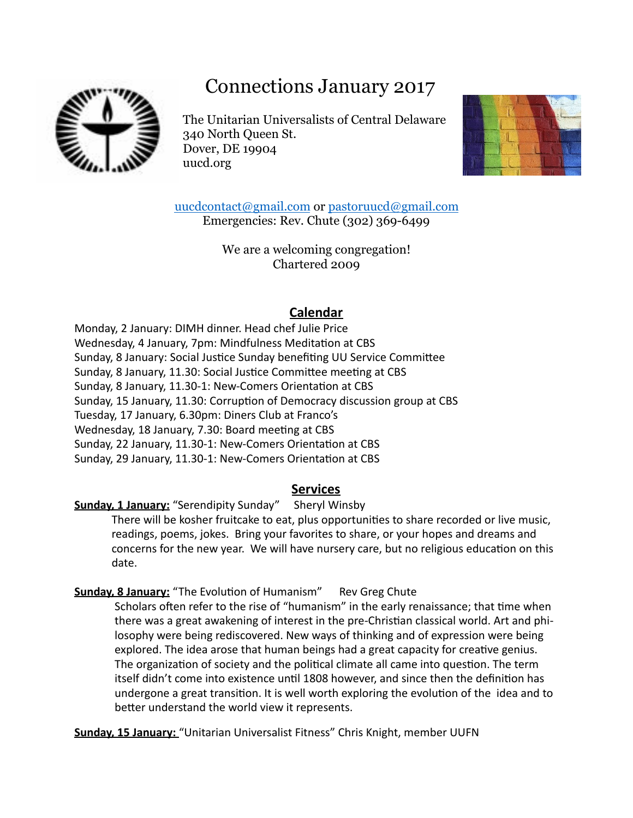# Connections January 2017



The Unitarian Universalists of Central Delaware 340 North Queen St. Dover, DE 19904 uucd.org



[uucdcontact@gmail.com](mailto:uucdcontact@gmail.com) or [pastoruucd@gmail.com](mailto:pastoruucd@gmail.com) Emergencies: Rev. Chute (302) 369-6499

> We are a welcoming congregation! Chartered 2009

## **Calendar**

Monday, 2 January: DIMH dinner. Head chef Julie Price Wednesday, 4 January, 7pm: Mindfulness Meditation at CBS Sunday, 8 January: Social Justice Sunday benefiting UU Service Committee Sunday, 8 January, 11.30: Social Justice Committee meeting at CBS Sunday, 8 January, 11.30-1: New-Comers Orientation at CBS Sunday, 15 January, 11.30: Corruption of Democracy discussion group at CBS Tuesday, 17 January, 6.30pm: Diners Club at Franco's Wednesday, 18 January, 7.30: Board meeting at CBS Sunday, 22 January, 11.30-1: New-Comers Orientation at CBS Sunday, 29 January, 11.30-1: New-Comers Orientation at CBS

## **Services**

## **Sunday, 1 January:** "Serendipity Sunday" Sheryl Winsby

There will be kosher fruitcake to eat, plus opportunities to share recorded or live music, readings, poems, jokes. Bring your favorites to share, or your hopes and dreams and concerns for the new year. We will have nursery care, but no religious education on this date.

**Sunday, 8 January:** "The Evolution of Humanism" Rev Greg Chute

Scholars often refer to the rise of "humanism" in the early renaissance; that time when there was a great awakening of interest in the pre-Christian classical world. Art and philosophy were being rediscovered. New ways of thinking and of expression were being explored. The idea arose that human beings had a great capacity for creative genius. The organization of society and the political climate all came into question. The term itself didn't come into existence until 1808 however, and since then the definition has undergone a great transition. It is well worth exploring the evolution of the idea and to better understand the world view it represents.

Sunday, 15 January: "Unitarian Universalist Fitness" Chris Knight, member UUFN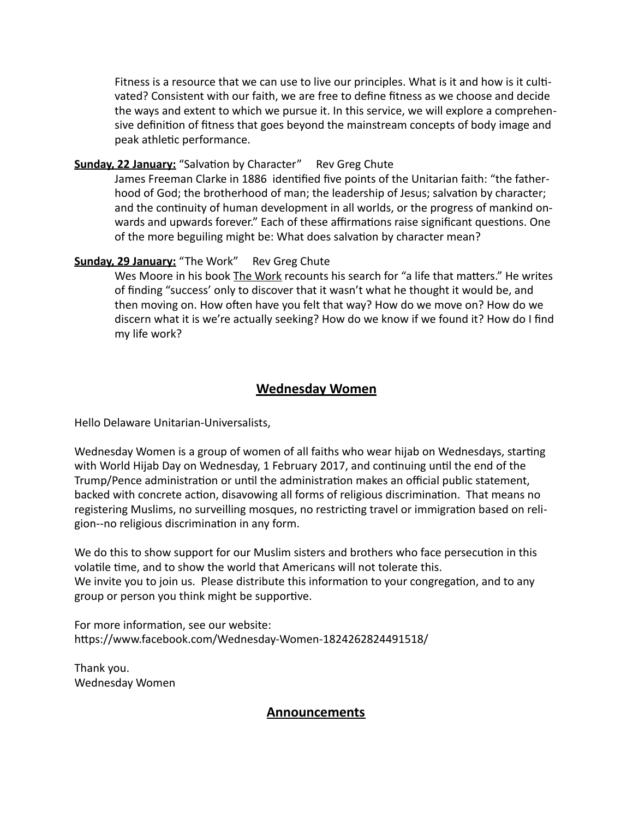Fitness is a resource that we can use to live our principles. What is it and how is it cultivated? Consistent with our faith, we are free to define fitness as we choose and decide the ways and extent to which we pursue it. In this service, we will explore a comprehensive definition of fitness that goes beyond the mainstream concepts of body image and peak athletic performance.

#### **Sunday, 22 January:** "Salvation by Character" Rev Greg Chute

James Freeman Clarke in 1886 identified five points of the Unitarian faith: "the fatherhood of God; the brotherhood of man; the leadership of Jesus; salvation by character; and the continuity of human development in all worlds, or the progress of mankind onwards and upwards forever." Each of these affirmations raise significant questions. One of the more beguiling might be: What does salvation by character mean?

#### **Sunday, 29 January:** "The Work" Rev Greg Chute

Wes Moore in his book *The Work* recounts his search for "a life that matters." He writes of finding "success' only to discover that it wasn't what he thought it would be, and then moving on. How often have you felt that way? How do we move on? How do we discern what it is we're actually seeking? How do we know if we found it? How do I find my life work?

#### **Wednesday Women**

Hello Delaware Unitarian-Universalists,

Wednesday Women is a group of women of all faiths who wear hijab on Wednesdays, starting with World Hijab Day on Wednesday, 1 February 2017, and continuing until the end of the Trump/Pence administration or until the administration makes an official public statement, backed with concrete action, disavowing all forms of religious discrimination. That means no registering Muslims, no surveilling mosques, no restricting travel or immigration based on religion--no religious discrimination in any form.

We do this to show support for our Muslim sisters and brothers who face persecution in this volatile time, and to show the world that Americans will not tolerate this. We invite you to join us. Please distribute this information to your congregation, and to any group or person you think might be supportive.

For more information, see our website: https://www.facebook.com/Wednesday-Women-1824262824491518/

Thank you. Wednesday Women

#### **Announcements**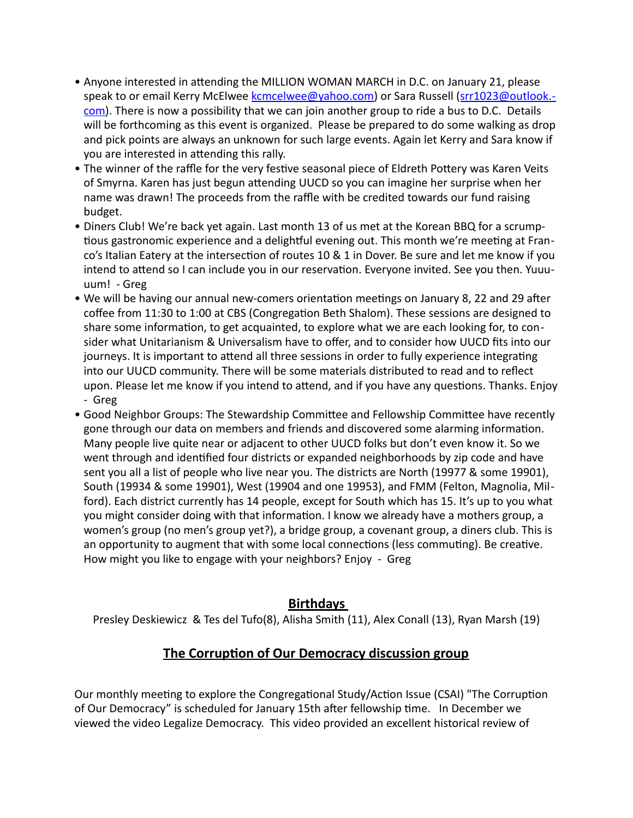- Anyone interested in attending the MILLION WOMAN MARCH in D.C. on January 21, please speak to or email Kerry McElwee [kcmcelwee@yahoo.com\)](mailto:kcmcelwee@yahoo.com) or Sara Russell ([srr1023@outlook.](mailto:srr1023@outlook.com)[com\)](mailto:srr1023@outlook.com). There is now a possibility that we can join another group to ride a bus to D.C. Details will be forthcoming as this event is organized. Please be prepared to do some walking as drop and pick points are always an unknown for such large events. Again let Kerry and Sara know if you are interested in attending this rally.
- The winner of the raffle for the very festive seasonal piece of Eldreth Pottery was Karen Veits of Smyrna. Karen has just begun attending UUCD so you can imagine her surprise when her name was drawn! The proceeds from the raffle with be credited towards our fund raising budget.
- Diners Club! We're back yet again. Last month 13 of us met at the Korean BBQ for a scrumptious gastronomic experience and a delightful evening out. This month we're meeting at Franco's Italian Eatery at the intersection of routes 10 & 1 in Dover. Be sure and let me know if you intend to attend so I can include you in our reservation. Everyone invited. See you then. Yuuuuum! - Greg
- We will be having our annual new-comers orientation meetings on January 8, 22 and 29 after coffee from 11:30 to 1:00 at CBS (Congregation Beth Shalom). These sessions are designed to share some information, to get acquainted, to explore what we are each looking for, to consider what Unitarianism & Universalism have to offer, and to consider how UUCD fits into our journeys. It is important to attend all three sessions in order to fully experience integrating into our UUCD community. There will be some materials distributed to read and to reflect upon. Please let me know if you intend to attend, and if you have any questions. Thanks. Enjoy - Greg
- Good Neighbor Groups: The Stewardship Committee and Fellowship Committee have recently gone through our data on members and friends and discovered some alarming information. Many people live quite near or adjacent to other UUCD folks but don't even know it. So we went through and identified four districts or expanded neighborhoods by zip code and have sent you all a list of people who live near you. The districts are North (19977 & some 19901), South (19934 & some 19901), West (19904 and one 19953), and FMM (Felton, Magnolia, Milford). Each district currently has 14 people, except for South which has 15. It's up to you what you might consider doing with that information. I know we already have a mothers group, a women's group (no men's group yet?), a bridge group, a covenant group, a diners club. This is an opportunity to augment that with some local connections (less commuting). Be creative. How might you like to engage with your neighbors? Enjoy - Greg

#### **Birthdays**

Presley Deskiewicz & Tes del Tufo(8), Alisha Smith (11), Alex Conall (13), Ryan Marsh (19)

## **The Corruption of Our Democracy discussion group**

Our monthly meeting to explore the Congregational Study/Action Issue (CSAI) "The Corruption of Our Democracy" is scheduled for January 15th after fellowship time. In December we viewed the video Legalize Democracy. This video provided an excellent historical review of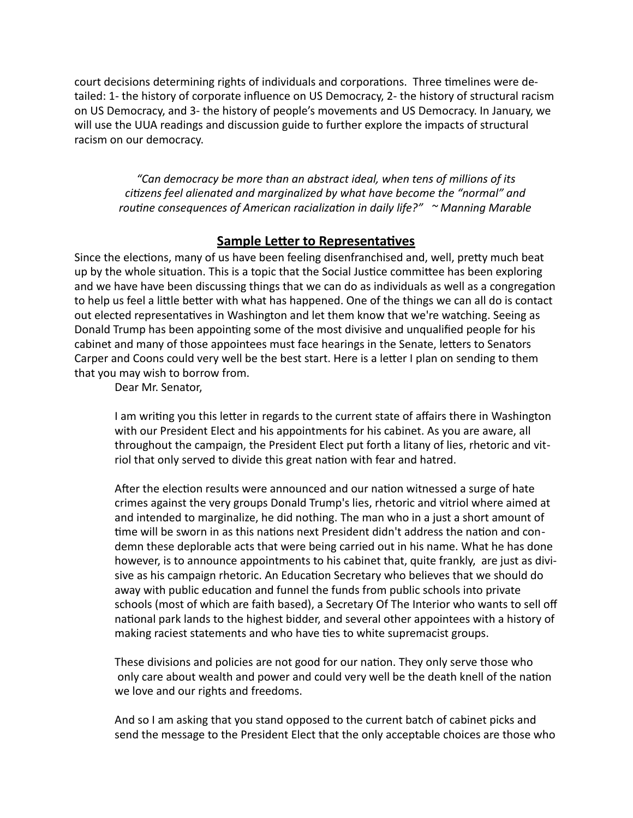court decisions determining rights of individuals and corporations. Three timelines were detailed: 1- the history of corporate influence on US Democracy, 2- the history of structural racism on US Democracy, and 3- the history of people's movements and US Democracy. In January, we will use the UUA readings and discussion guide to further explore the impacts of structural racism on our democracy.

*"Can democracy be more than an abstract ideal, when tens of millions of its citizens* feel alienated and marginalized by what have become the "normal" and *routine consequences of American racialization in daily life?"* ~ Manning Marable

#### **Sample Letter to Representatives**

Since the elections, many of us have been feeling disenfranchised and, well, pretty much beat up by the whole situation. This is a topic that the Social Justice committee has been exploring and we have have been discussing things that we can do as individuals as well as a congregation to help us feel a little better with what has happened. One of the things we can all do is contact out elected representatives in Washington and let them know that we're watching. Seeing as Donald Trump has been appointing some of the most divisive and unqualified people for his cabinet and many of those appointees must face hearings in the Senate, letters to Senators Carper and Coons could very well be the best start. Here is a letter I plan on sending to them that you may wish to borrow from.

Dear Mr. Senator,

I am writing you this letter in regards to the current state of affairs there in Washington with our President Elect and his appointments for his cabinet. As you are aware, all throughout the campaign, the President Elect put forth a litany of lies, rhetoric and vitriol that only served to divide this great nation with fear and hatred.

After the election results were announced and our nation witnessed a surge of hate crimes against the very groups Donald Trump's lies, rhetoric and vitriol where aimed at and intended to marginalize, he did nothing. The man who in a just a short amount of time will be sworn in as this nations next President didn't address the nation and condemn these deplorable acts that were being carried out in his name. What he has done however, is to announce appointments to his cabinet that, quite frankly, are just as divisive as his campaign rhetoric. An Education Secretary who believes that we should do away with public education and funnel the funds from public schools into private schools (most of which are faith based), a Secretary Of The Interior who wants to sell off national park lands to the highest bidder, and several other appointees with a history of making raciest statements and who have ties to white supremacist groups.

These divisions and policies are not good for our nation. They only serve those who only care about wealth and power and could very well be the death knell of the nation we love and our rights and freedoms.

And so I am asking that you stand opposed to the current batch of cabinet picks and send the message to the President Elect that the only acceptable choices are those who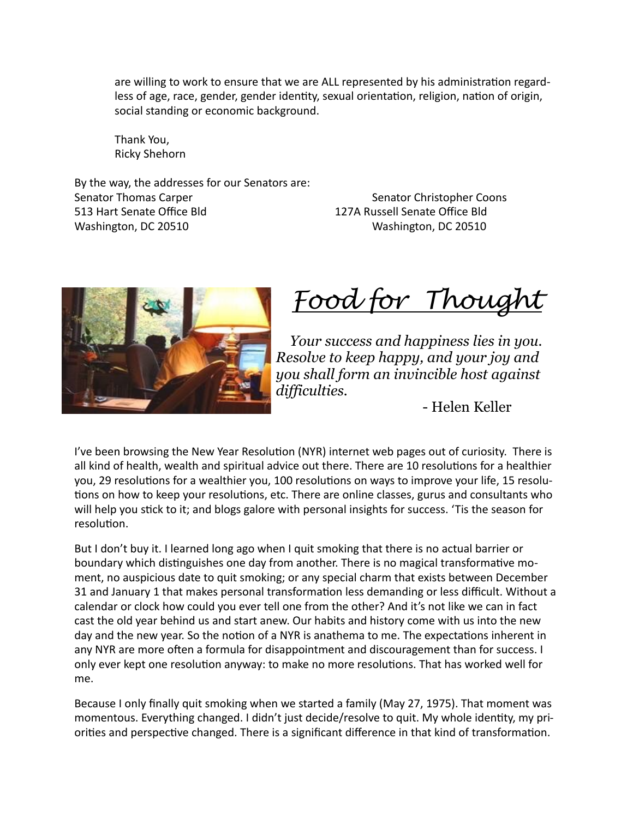are willing to work to ensure that we are ALL represented by his administration regardless of age, race, gender, gender identity, sexual orientation, religion, nation of origin, social standing or economic background.

Thank You, Ricky Shehorn

By the way, the addresses for our Senators are: Senator Thomas Carper **Busic Community** Senator Christopher Coons 513 Hart Senate Office Bld
Senate Office Bld
513 Hart Senate Office Bld
513 Hart Senate Office Bld
513 Hart Senate Office Bld
513 Hart Senate Office Bld
513 Hart Senate Office Bld
513 Hart Senate Office Bld
513 Hart Senate Washington, DC 20510 Washington, DC 20510



*Food for Thought*

 *Your success and happiness lies in you. Resolve to keep happy, and your joy and you shall form an invincible host against difficulties.*

- Helen Keller

I've been browsing the New Year Resolution (NYR) internet web pages out of curiosity. There is all kind of health, wealth and spiritual advice out there. There are 10 resolutions for a healthier you, 29 resolutions for a wealthier you, 100 resolutions on ways to improve your life, 15 resolutions on how to keep your resolutions, etc. There are online classes, gurus and consultants who will help you stick to it; and blogs galore with personal insights for success. 'Tis the season for resolution.

But I don't buy it. I learned long ago when I quit smoking that there is no actual barrier or boundary which distinguishes one day from another. There is no magical transformative moment, no auspicious date to quit smoking; or any special charm that exists between December 31 and January 1 that makes personal transformation less demanding or less difficult. Without a calendar or clock how could you ever tell one from the other? And it's not like we can in fact cast the old year behind us and start anew. Our habits and history come with us into the new day and the new year. So the notion of a NYR is anathema to me. The expectations inherent in any NYR are more often a formula for disappointment and discouragement than for success. I only ever kept one resolution anyway: to make no more resolutions. That has worked well for me.

Because I only finally quit smoking when we started a family (May 27, 1975). That moment was momentous. Everything changed. I didn't just decide/resolve to quit. My whole identity, my priorities and perspective changed. There is a significant difference in that kind of transformation.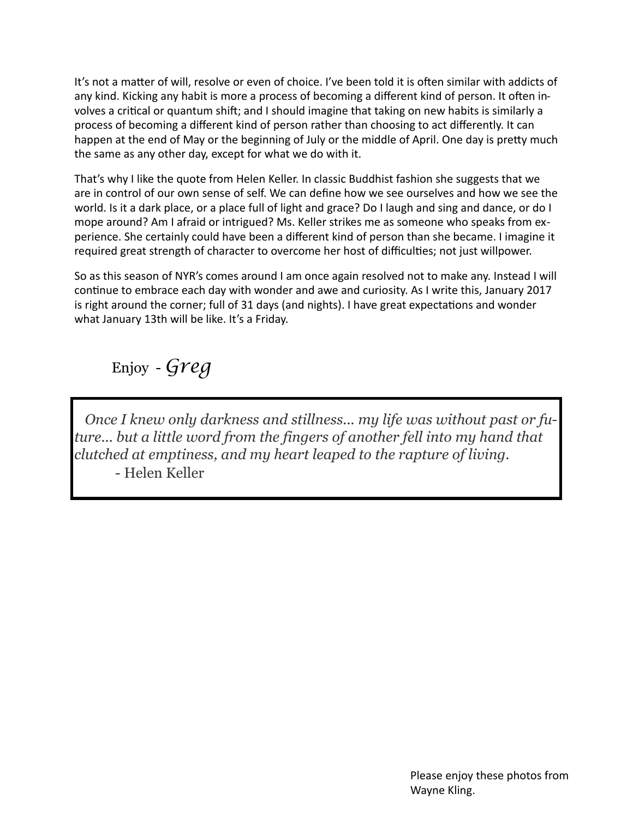It's not a matter of will, resolve or even of choice. I've been told it is often similar with addicts of any kind. Kicking any habit is more a process of becoming a different kind of person. It often involves a critical or quantum shift; and I should imagine that taking on new habits is similarly a process of becoming a different kind of person rather than choosing to act differently. It can happen at the end of May or the beginning of July or the middle of April. One day is pretty much the same as any other day, except for what we do with it.

That's why I like the quote from Helen Keller. In classic Buddhist fashion she suggests that we are in control of our own sense of self. We can define how we see ourselves and how we see the world. Is it a dark place, or a place full of light and grace? Do I laugh and sing and dance, or do I mope around? Am I afraid or intrigued? Ms. Keller strikes me as someone who speaks from experience. She certainly could have been a different kind of person than she became. I imagine it required great strength of character to overcome her host of difficulties; not just willpower.

So as this season of NYR's comes around I am once again resolved not to make any. Instead I will continue to embrace each day with wonder and awe and curiosity. As I write this, January 2017 is right around the corner; full of 31 days (and nights). I have great expectations and wonder what January 13th will be like. It's a Friday.

## Enjoy - *Greg*

 *Once I knew only darkness and stillness... my life was without past or future... but a little word from the fingers of another fell into my hand that clutched at emptiness, and my heart leaped to the rapture of living*. - Helen Keller

> Please enjoy these photos from Wayne Kling.